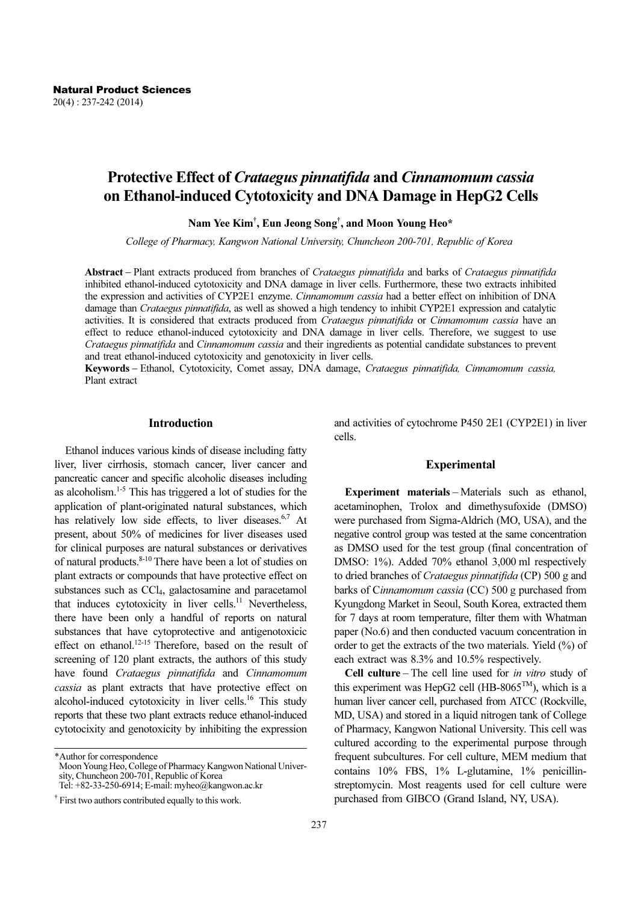# Protective Effect of Crataegus pinnatifida and Cinnamomum cassia on Ethanol-induced Cytotoxicity and DNA Damage in HepG2 Cells

Nam Yee Kim† , Eun Jeong Song† , and Moon Young Heo\*

College of Pharmacy, Kangwon National University, Chuncheon 200-701, Republic of Korea

Abstract − Plant extracts produced from branches of Crataegus pinnatifida and barks of Crataegus pinnatifida inhibited ethanol-induced cytotoxicity and DNA damage in liver cells. Furthermore, these two extracts inhibited the expression and activities of CYP2E1 enzyme. Cinnamomum cassia had a better effect on inhibition of DNA damage than Crataegus pinnatifida, as well as showed a high tendency to inhibit CYP2E1 expression and catalytic activities. It is considered that extracts produced from Crataegus pinnatifida or Cinnamomum cassia have an effect to reduce ethanol-induced cytotoxicity and DNA damage in liver cells. Therefore, we suggest to use Crataegus pinnatifida and Cinnamomum cassia and their ingredients as potential candidate substances to prevent and treat ethanol-induced cytotoxicity and genotoxicity in liver cells.

Keywords - Ethanol, Cytotoxicity, Comet assay, DNA damage, Crataegus pinnatifida, Cinnamomum cassia, Plant extract

# Introduction

Ethanol induces various kinds of disease including fatty liver, liver cirrhosis, stomach cancer, liver cancer and pancreatic cancer and specific alcoholic diseases including as alcoholism. $1-5$  This has triggered a lot of studies for the application of plant-originated natural substances, which has relatively low side effects, to liver diseases.<sup>6,7</sup> At present, about 50% of medicines for liver diseases used for clinical purposes are natural substances or derivatives of natural products.8-10 There have been a lot of studies on plant extracts or compounds that have protective effect on substances such as CCl<sub>4</sub>, galactosamine and paracetamol that induces cytotoxicity in liver cells.<sup>11</sup> Nevertheless, there have been only a handful of reports on natural substances that have cytoprotective and antigenotoxicic effect on ethanol.<sup>12-15</sup> Therefore, based on the result of screening of 120 plant extracts, the authors of this study have found Crataegus pinnatifida and Cinnamomum cassia as plant extracts that have protective effect on alcohol-induced cytotoxicity in liver cells.<sup>16</sup> This study reports that these two plant extracts reduce ethanol-induced cytotocixity and genotoxicity by inhibiting the expression

and activities of cytochrome P450 2E1 (CYP2E1) in liver cells.

### Experimental

Experiment materials – Materials such as ethanol, acetaminophen, Trolox and dimethysufoxide (DMSO) were purchased from Sigma-Aldrich (MO, USA), and the negative control group was tested at the same concentration as DMSO used for the test group (final concentration of DMSO: 1%). Added 70% ethanol 3,000 ml respectively to dried branches of Crataegus pinnatifida (CP) 500 g and barks of Cinnamomum cassia (CC) 500 g purchased from Kyungdong Market in Seoul, South Korea, extracted them for 7 days at room temperature, filter them with Whatman paper (No.6) and then conducted vacuum concentration in order to get the extracts of the two materials. Yield (%) of each extract was 8.3% and 10.5% respectively.

Cell culture – The cell line used for in vitro study of this experiment was HepG2 cell (HB-8065<sup>TM</sup>), which is a human liver cancer cell, purchased from ATCC (Rockville, MD, USA) and stored in a liquid nitrogen tank of College of Pharmacy, Kangwon National University. This cell was cultured according to the experimental purpose through frequent subcultures. For cell culture, MEM medium that contains 10% FBS, 1% L-glutamine, 1% penicillinstreptomycin. Most reagents used for cell culture were purchased from GIBCO (Grand Island, NY, USA).

<sup>\*</sup>Author for correspondence

Moon Young Heo, College of Pharmacy Kangwon National University, Chuncheon 200-701, Republic of Korea

Tel: +82-33-250-6914; E-mail: myheo@kangwon.ac.kr

<sup>†</sup> First two authors contributed equally to this work.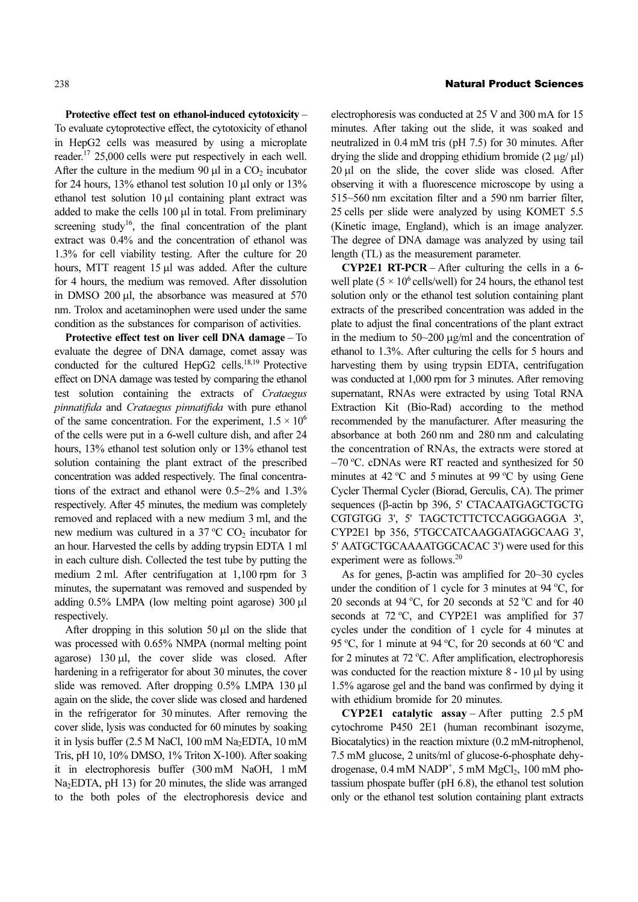Protective effect test on ethanol-induced cytotoxicity – To evaluate cytoprotective effect, the cytotoxicity of ethanol in HepG2 cells was measured by using a microplate reader.<sup>17</sup> 25,000 cells were put respectively in each well. After the culture in the medium 90  $\mu$ l in a CO<sub>2</sub> incubator for 24 hours, 13% ethanol test solution 10 μl only or 13% ethanol test solution 10 μl containing plant extract was added to make the cells 100 μl in total. From preliminary screening study<sup>16</sup>, the final concentration of the plant extract was 0.4% and the concentration of ethanol was 1.3% for cell viability testing. After the culture for 20 hours, MTT reagent 15 μl was added. After the culture for 4 hours, the medium was removed. After dissolution in DMSO 200 μl, the absorbance was measured at 570 nm. Trolox and acetaminophen were used under the same condition as the substances for comparison of activities.

Protective effect test on liver cell DNA damage – To evaluate the degree of DNA damage, comet assay was conducted for the cultured HepG2 cells.<sup>18,19</sup> Protective effect on DNA damage was tested by comparing the ethanol test solution containing the extracts of Crataegus pinnatifida and Crataegus pinnatifida with pure ethanol of the same concentration. For the experiment,  $1.5 \times 10^6$ of the cells were put in a 6-well culture dish, and after 24 hours, 13% ethanol test solution only or 13% ethanol test solution containing the plant extract of the prescribed concentration was added respectively. The final concentrations of the extract and ethanol were 0.5~2% and 1.3% respectively. After 45 minutes, the medium was completely removed and replaced with a new medium 3 ml, and the new medium was cultured in a 37  $^{\circ}$ C CO<sub>2</sub> incubator for an hour. Harvested the cells by adding trypsin EDTA 1 ml in each culture dish. Collected the test tube by putting the medium 2 ml. After centrifugation at 1,100 rpm for 3 minutes, the supernatant was removed and suspended by adding 0.5% LMPA (low melting point agarose) 300 μl respectively.

After dropping in this solution 50 μl on the slide that was processed with 0.65% NMPA (normal melting point agarose) 130 μl, the cover slide was closed. After hardening in a refrigerator for about 30 minutes, the cover slide was removed. After dropping 0.5% LMPA 130 μl again on the slide, the cover slide was closed and hardened in the refrigerator for 30 minutes. After removing the cover slide, lysis was conducted for 60 minutes by soaking it in lysis buffer  $(2.5 M$  NaCl, 100 mM Na<sub>2</sub>EDTA, 10 mM Tris, pH 10, 10% DMSO, 1% Triton X-100). After soaking it in electrophoresis buffer (300 mM NaOH, 1 mM Na<sub>2</sub>EDTA, pH 13) for 20 minutes, the slide was arranged to the both poles of the electrophoresis device and

#### 238 Natural Product Sciences

electrophoresis was conducted at 25 V and 300 mA for 15 minutes. After taking out the slide, it was soaked and neutralized in 0.4 mM tris (pH 7.5) for 30 minutes. After drying the slide and dropping ethidium bromide  $(2 \mu g/\mu l)$ 20 μl on the slide, the cover slide was closed. After observing it with a fluorescence microscope by using a 515~560 nm excitation filter and a 590 nm barrier filter, 25 cells per slide were analyzed by using KOMET 5.5 (Kinetic image, England), which is an image analyzer. The degree of DNA damage was analyzed by using tail length (TL) as the measurement parameter.

CYP2E1 RT-PCR – After culturing the cells in a 6 well plate ( $5 \times 10^6$  cells/well) for 24 hours, the ethanol test solution only or the ethanol test solution containing plant extracts of the prescribed concentration was added in the plate to adjust the final concentrations of the plant extract in the medium to 50~200 μg/ml and the concentration of ethanol to 1.3%. After culturing the cells for 5 hours and harvesting them by using trypsin EDTA, centrifugation was conducted at 1,000 rpm for 3 minutes. After removing supernatant, RNAs were extracted by using Total RNA Extraction Kit (Bio-Rad) according to the method recommended by the manufacturer. After measuring the absorbance at both 260 nm and 280 nm and calculating the concentration of RNAs, the extracts were stored at −70 <sup>o</sup> C. cDNAs were RT reacted and synthesized for 50 minutes at 42  $^{\circ}$ C and 5 minutes at 99  $^{\circ}$ C by using Gene Cycler Thermal Cycler (Biorad, Gerculis, CA). The primer sequences (β-actin bp 396, 5' CTACAATGAGCTGCTG CGTGTGG 3', 5' TAGCTCTTCTCCAGGGAGGA 3', CYP2E1 bp 356, 5'TGCCATCAAGGATAGGCAAG 3', 5' AATGCTGCAAAATGGCACAC 3') were used for this experiment were as follows.<sup>20</sup>

As for genes, β-actin was amplified for 20~30 cycles under the condition of 1 cycle for 3 minutes at 94  $^{\circ}$ C, for 20 seconds at 94 °C, for 20 seconds at 52 °C and for 40 seconds at 72 °C, and CYP2E1 was amplified for 37 cycles under the condition of 1 cycle for 4 minutes at 95 °C, for 1 minute at 94 °C, for 20 seconds at 60 °C and for 2 minutes at 72 °C. After amplification, electrophoresis was conducted for the reaction mixture 8 - 10 μl by using 1.5% agarose gel and the band was confirmed by dying it with ethidium bromide for 20 minutes.

**CYP2E1** catalytic assay – After putting 2.5 pM cytochrome P450 2E1 (human recombinant isozyme, Biocatalytics) in the reaction mixture (0.2 mM-nitrophenol, 7.5 mM glucose, 2 units/ml of glucose-6-phosphate dehydrogenase,  $0.4$  mM NADP<sup>+</sup>, 5 mM MgCl<sub>2</sub>, 100 mM photassium phospate buffer (pH 6.8), the ethanol test solution only or the ethanol test solution containing plant extracts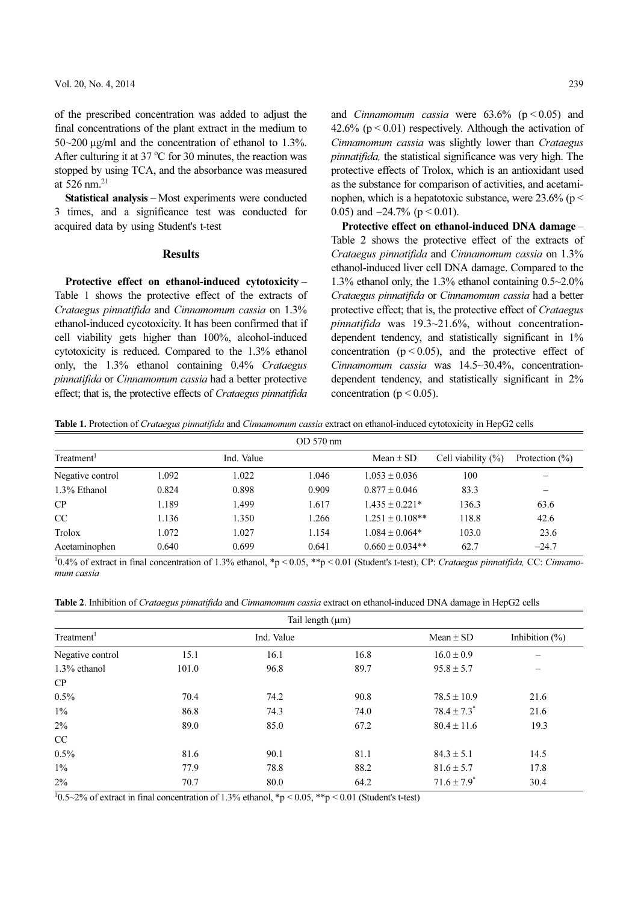of the prescribed concentration was added to adjust the final concentrations of the plant extract in the medium to 50~200 μg/ml and the concentration of ethanol to 1.3%. After culturing it at  $37^{\circ}$ C for 30 minutes, the reaction was stopped by using TCA, and the absorbance was measured at 526 nm $^{21}$ 

Statistical analysis – Most experiments were conducted 3 times, and a significance test was conducted for acquired data by using Student's t-test

## Results

Protective effect on ethanol-induced cytotoxicity – Table 1 shows the protective effect of the extracts of Crataegus pinnatifida and Cinnamomum cassia on 1.3% ethanol-induced cycotoxicity. It has been confirmed that if cell viability gets higher than 100%, alcohol-induced cytotoxicity is reduced. Compared to the 1.3% ethanol only, the 1.3% ethanol containing 0.4% Crataegus pinnatifida or Cinnamomum cassia had a better protective effect; that is, the protective effects of Crataegus pinnatifida and *Cinnamomum cassia* were  $63.6\%$  ( $p < 0.05$ ) and 42.6% ( $p < 0.01$ ) respectively. Although the activation of Cinnamomum cassia was slightly lower than Crataegus pinnatifida, the statistical significance was very high. The protective effects of Trolox, which is an antioxidant used as the substance for comparison of activities, and acetaminophen, which is a hepatotoxic substance, were  $23.6\%$  (p  $\leq$ 0.05) and  $-24.7\%$  (p < 0.01).

Protective effect on ethanol-induced DNA damage – Table 2 shows the protective effect of the extracts of Crataegus pinnatifida and Cinnamomum cassia on 1.3% ethanol-induced liver cell DNA damage. Compared to the 1.3% ethanol only, the 1.3% ethanol containing 0.5~2.0% Crataegus pinnatifida or Cinnamomum cassia had a better protective effect; that is, the protective effect of Crataegus pinnatifida was 19.3~21.6%, without concentrationdependent tendency, and statistically significant in  $1\%$ concentration  $(p < 0.05)$ , and the protective effect of Cinnamomum cassia was 14.5~30.4%, concentrationdependent tendency, and statistically significant in 2% concentration ( $p < 0.05$ ).

Table 1. Protection of Crataegus pinnatifida and Cinnamomum cassia extract on ethanol-induced cytotoxicity in HepG2 cells

| OD 570 nm              |       |            |       |                     |                        |                   |  |  |  |
|------------------------|-------|------------|-------|---------------------|------------------------|-------------------|--|--|--|
| Treatment <sup>1</sup> |       | Ind. Value |       | Mean $\pm$ SD       | Cell viability $(\% )$ | Protection $(\%)$ |  |  |  |
| Negative control       | 1.092 | 1.022      | 1.046 | $1.053 \pm 0.036$   | 100                    |                   |  |  |  |
| 1.3% Ethanol           | 0.824 | 0.898      | 0.909 | $0.877 \pm 0.046$   | 83.3                   |                   |  |  |  |
| CP                     | 1.189 | 1.499      | 1.617 | $1.435 \pm 0.221*$  | 136.3                  | 63.6              |  |  |  |
| <sub>CC</sub>          | 1.136 | 1.350      | 1.266 | $1.251 \pm 0.108**$ | 118.8                  | 42.6              |  |  |  |
| Trolox                 | 1.072 | 1.027      | 1.154 | $1.084 \pm 0.064*$  | 103.0                  | 23.6              |  |  |  |
| Acetaminophen          | 0.640 | 0.699      | 0.641 | $0.660 \pm 0.034**$ | 62.7                   | $-24.7$           |  |  |  |

 $^{10.4\%}$  of extract in final concentration of 1.3% ethanol, \*p < 0.05, \*\*p < 0.01 (Student's t-test), CP: Crataegus pinnatifida, CC: Cinnamomum cassia

Table 2. Inhibition of Crataegus pinnatifida and Cinnamomum cassia extract on ethanol-induced DNA damage in HepG2 cells

| Tail length $(\mu m)$  |       |            |      |                             |                   |  |  |  |
|------------------------|-------|------------|------|-----------------------------|-------------------|--|--|--|
| Treatment <sup>1</sup> |       | Ind. Value |      | Mean $\pm$ SD               | Inhibition $(\%)$ |  |  |  |
| Negative control       | 15.1  | 16.1       | 16.8 | $16.0 \pm 0.9$              |                   |  |  |  |
| $1.3\%$ ethanol        | 101.0 | 96.8       | 89.7 | $95.8 \pm 5.7$              |                   |  |  |  |
| CP                     |       |            |      |                             |                   |  |  |  |
| 0.5%                   | 70.4  | 74.2       | 90.8 | $78.5 \pm 10.9$             | 21.6              |  |  |  |
| $1\%$                  | 86.8  | 74.3       | 74.0 | $78.4 \pm 7.3^*$            | 21.6              |  |  |  |
| 2%                     | 89.0  | 85.0       | 67.2 | $80.4 \pm 11.6$             | 19.3              |  |  |  |
| CC                     |       |            |      |                             |                   |  |  |  |
| 0.5%                   | 81.6  | 90.1       | 81.1 | $84.3 \pm 5.1$              | 14.5              |  |  |  |
| $1\%$                  | 77.9  | 78.8       | 88.2 | $81.6 \pm 5.7$              | 17.8              |  |  |  |
| $2\%$                  | 70.7  | 80.0       | 64.2 | $71.6 \pm 7.9$ <sup>*</sup> | 30.4              |  |  |  |

 $10.5~2\%$  of extract in final concentration of 1.3% ethanol, \*p < 0.05, \*\*p < 0.01 (Student's t-test)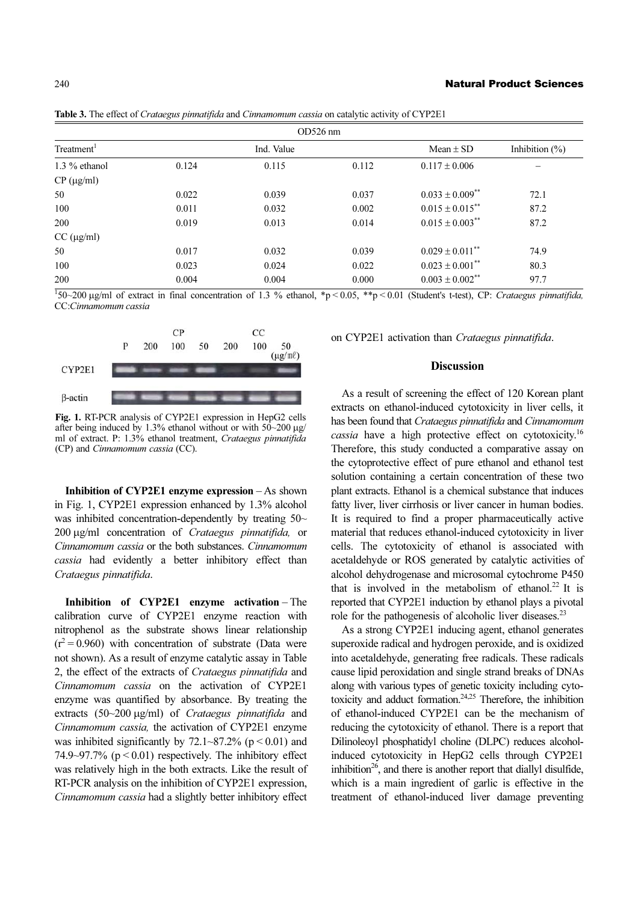| $OD526$ nm             |       |            |       |                                 |                    |  |  |  |
|------------------------|-------|------------|-------|---------------------------------|--------------------|--|--|--|
| Treatment <sup>1</sup> |       | Ind. Value |       | Mean $\pm$ SD                   | Inhibition $(\% )$ |  |  |  |
| $1.3\%$ ethanol        | 0.124 | 0.115      | 0.112 | $0.117 \pm 0.006$               |                    |  |  |  |
| $CP$ ( $\mu$ g/ml)     |       |            |       |                                 |                    |  |  |  |
| 50                     | 0.022 | 0.039      | 0.037 | $0.033 \pm 0.009$ **            | 72.1               |  |  |  |
| 100                    | 0.011 | 0.032      | 0.002 | $0.015 \pm 0.015$ **            | 87.2               |  |  |  |
| 200                    | 0.019 | 0.013      | 0.014 | $0.015 \pm 0.003$ **            | 87.2               |  |  |  |
| $CC$ ( $\mu$ g/ml)     |       |            |       |                                 |                    |  |  |  |
| 50                     | 0.017 | 0.032      | 0.039 | $0.029 \pm 0.011$ <sup>**</sup> | 74.9               |  |  |  |
| 100                    | 0.023 | 0.024      | 0.022 | $0.023 \pm 0.001$ <sup>**</sup> | 80.3               |  |  |  |
| 200                    | 0.004 | 0.004      | 0.000 | $0.003 \pm 0.002$ **            | 97.7               |  |  |  |

Table 3. The effect of *Crataegus pinnatifida* and *Cinnamomum cassia* on catalytic activity of CYP2E1

 $\frac{1}{150}$  -200 µg/ml of extract in final concentration of 1.3 % ethanol, \*p < 0.05, \*\*p < 0.01 (Student's t-test), CP: Crataegus pinnatifida, CC:Cinnamomum cassia



Fig. 1. RT-PCR analysis of CYP2E1 expression in HepG2 cells after being induced by 1.3% ethanol without or with 50~200 µg/ ml of extract. P: 1.3% ethanol treatment, Crataegus pinnatifida (CP) and Cinnamomum cassia (CC).

Inhibition of CYP2E1 enzyme expression – As shown in Fig. 1, CYP2E1 expression enhanced by 1.3% alcohol was inhibited concentration-dependently by treating 50~ 200 μg/ml concentration of Crataegus pinnatifida, or Cinnamomum cassia or the both substances. Cinnamomum cassia had evidently a better inhibitory effect than Crataegus pinnatifida.

Inhibition of CYP2E1 enzyme activation – The calibration curve of CYP2E1 enzyme reaction with nitrophenol as the substrate shows linear relationship  $(r^2 = 0.960)$  with concentration of substrate (Data were not shown). As a result of enzyme catalytic assay in Table 2, the effect of the extracts of Crataegus pinnatifida and Cinnamomum cassia on the activation of CYP2E1 enzyme was quantified by absorbance. By treating the extracts (50~200 μg/ml) of Crataegus pinnatifida and Cinnamomum cassia, the activation of CYP2E1 enzyme was inhibited significantly by  $72.1 \times 87.2\%$  (p < 0.01) and 74.9~97.7% ( $p < 0.01$ ) respectively. The inhibitory effect was relatively high in the both extracts. Like the result of RT-PCR analysis on the inhibition of CYP2E1 expression, Cinnamomum cassia had a slightly better inhibitory effect on CYP2E1 activation than Crataegus pinnatifida.

# **Discussion**

As a result of screening the effect of 120 Korean plant extracts on ethanol-induced cytotoxicity in liver cells, it has been found that Crataegus pinnatifida and Cinnamomum cassia have a high protective effect on cytotoxicity.<sup>16</sup> Therefore, this study conducted a comparative assay on the cytoprotective effect of pure ethanol and ethanol test solution containing a certain concentration of these two plant extracts. Ethanol is a chemical substance that induces fatty liver, liver cirrhosis or liver cancer in human bodies. It is required to find a proper pharmaceutically active material that reduces ethanol-induced cytotoxicity in liver cells. The cytotoxicity of ethanol is associated with acetaldehyde or ROS generated by catalytic activities of alcohol dehydrogenase and microsomal cytochrome P450 that is involved in the metabolism of ethanol.<sup>22</sup> It is reported that CYP2E1 induction by ethanol plays a pivotal role for the pathogenesis of alcoholic liver diseases.<sup>23</sup>

As a strong CYP2E1 inducing agent, ethanol generates superoxide radical and hydrogen peroxide, and is oxidized into acetaldehyde, generating free radicals. These radicals cause lipid peroxidation and single strand breaks of DNAs along with various types of genetic toxicity including cytotoxicity and adduct formation. $24,25$  Therefore, the inhibition of ethanol-induced CYP2E1 can be the mechanism of reducing the cytotoxicity of ethanol. There is a report that Dilinoleoyl phosphatidyl choline (DLPC) reduces alcoholinduced cytotoxicity in HepG2 cells through CYP2E1 inhibition<sup>26</sup>, and there is another report that diallyl disulfide, which is a main ingredient of garlic is effective in the treatment of ethanol-induced liver damage preventing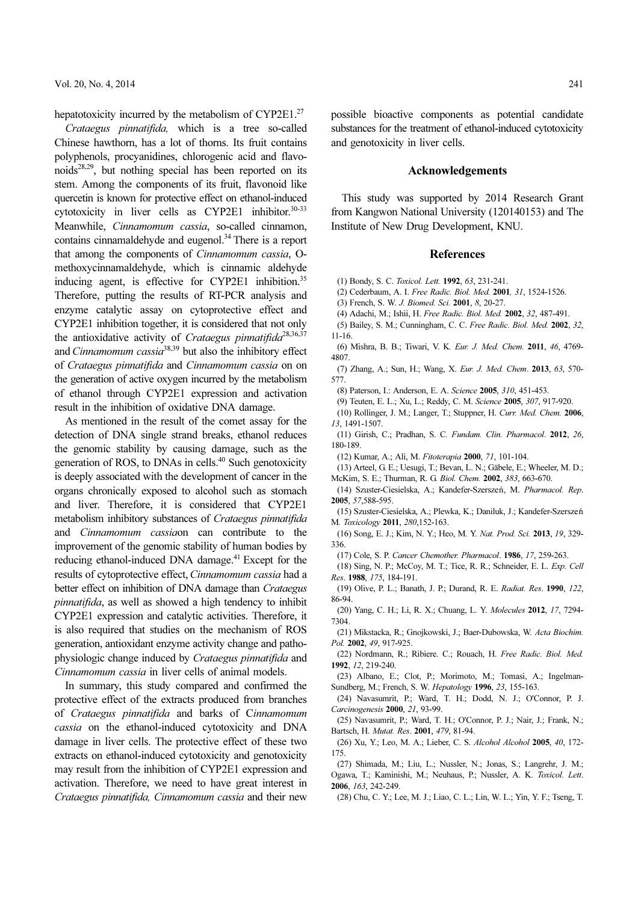hepatotoxicity incurred by the metabolism of CYP2E1.<sup>27</sup>

Crataegus pinnatifida, which is a tree so-called Chinese hawthorn, has a lot of thorns. Its fruit contains polyphenols, procyanidines, chlorogenic acid and flavonoids28,29, but nothing special has been reported on its stem. Among the components of its fruit, flavonoid like quercetin is known for protective effect on ethanol-induced cytotoxicity in liver cells as CYP2E1 inhibitor.<sup>30-33</sup> Meanwhile, Cinnamomum cassia, so-called cinnamon, contains cinnamaldehyde and eugenol.<sup>34</sup> There is a report that among the components of Cinnamomum cassia, Omethoxycinnamaldehyde, which is cinnamic aldehyde inducing agent, is effective for CYP2E1 inhibition.<sup>35</sup> Therefore, putting the results of RT-PCR analysis and enzyme catalytic assay on cytoprotective effect and CYP2E1 inhibition together, it is considered that not only the antioxidative activity of Crataegus pinnatifida<sup>28,36,37</sup> and *Cinnamomum cassia*<sup>38,39</sup> but also the inhibitory effect of Crataegus pinnatifida and Cinnamomum cassia on on the generation of active oxygen incurred by the metabolism of ethanol through CYP2E1 expression and activation result in the inhibition of oxidative DNA damage.

As mentioned in the result of the comet assay for the detection of DNA single strand breaks, ethanol reduces the genomic stability by causing damage, such as the generation of ROS, to DNAs in cells.<sup>40</sup> Such genotoxicity is deeply associated with the development of cancer in the organs chronically exposed to alcohol such as stomach and liver. Therefore, it is considered that CYP2E1 metabolism inhibitory substances of Crataegus pinnatifida and Cinnamomum cassiaon can contribute to the improvement of the genomic stability of human bodies by reducing ethanol-induced DNA damage.<sup>41</sup> Except for the results of cytoprotective effect, Cinnamomum cassia had a better effect on inhibition of DNA damage than *Crataegus* pinnatifida, as well as showed a high tendency to inhibit CYP2E1 expression and catalytic activities. Therefore, it is also required that studies on the mechanism of ROS generation, antioxidant enzyme activity change and pathophysiologic change induced by Crataegus pinnatifida and Cinnamomum cassia in liver cells of animal models.

In summary, this study compared and confirmed the protective effect of the extracts produced from branches of Crataegus pinnatifida and barks of Cinnamomum cassia on the ethanol-induced cytotoxicity and DNA damage in liver cells. The protective effect of these two extracts on ethanol-induced cytotoxicity and genotoxicity may result from the inhibition of CYP2E1 expression and activation. Therefore, we need to have great interest in Crataegus pinnatifida, Cinnamomum cassia and their new possible bioactive components as potential candidate substances for the treatment of ethanol-induced cytotoxicity and genotoxicity in liver cells.

#### Acknowledgements

This study was supported by 2014 Research Grant from Kangwon National University (120140153) and The Institute of New Drug Development, KNU.

### **References**

- (1) Bondy, S. C. Toxicol. Lett. 1992, 63, 231-241.
- (2) Cederbaum, A. I. Free Radic. Biol. Med. 2001, 31, 1524-1526.

(3) French, S. W. J. Biomed. Sci. 2001, 8, 20-27.

- (4) Adachi, M.; Ishii, H. Free Radic. Biol. Med. 2002, 32, 487-491.
- (5) Bailey, S. M.; Cunningham, C. C. Free Radic. Biol. Med. 2002, 32, 11-16.
- (6) Mishra, B. B.; Tiwari, V. K. Eur. J. Med. Chem. 2011, 46, 4769- 4807.

(7) Zhang, A.; Sun, H.; Wang, X. Eur. J. Med. Chem. 2013, 63, 570- 577.

(8) Paterson, I.: Anderson, E. A. Science 2005, 310, 451-453.

- (9) Teuten, E. L.; Xu, L.; Reddy, C. M. Science 2005, 307, 917-920.
- (10) Rollinger, J. M.; Langer, T.; Stuppner, H. Curr. Med. Chem. 2006, 13, 1491-1507.
- (11) Girish, C.; Pradhan, S. C. Fundam. Clin. Pharmacol. 2012, 26, 180-189.
- (12) Kumar, A.; Ali, M. Fitoterapia 2000, 71, 101-104.
- (13) Arteel, G. E.; Uesugi, T.; Bevan, L. N.; Gäbele, E.; Wheeler, M. D.; McKim, S. E.; Thurman, R. G. Biol. Chem. 2002, 383, 663-670.
- (14) Szuster-Ciesielska, A.; Kandefer-Szerszeń, M. Pharmacol. Rep. 2005, 57,588-595.
- (15) Szuster-Ciesielska, A.; Plewka, K.; Daniluk, J.; Kandefer-Szersze níM. Toxicology 2011, 280,152-163.
- (16) Song, E. J.; Kim, N. Y.; Heo, M. Y. Nat. Prod. Sci. 2013, 19, 329- 336.
- (17) Cole, S. P. Cancer Chemother. Pharmacol. 1986, 17, 259-263.
- (18) Sing, N. P.; McCoy, M. T.; Tice, R. R.; Schneider, E. L. Exp. Cell Res. 1988, 175, 184-191.
- (19) Olive, P. L.; Banath, J. P.; Durand, R. E. Radiat. Res. 1990, 122, 86-94.
- (20) Yang, C. H.; Li, R. X.; Chuang, L. Y. Molecules 2012, 17, 7294- 7304.
- (21) Mikstacka, R.; Gnojkowski, J.; Baer-Dubowska, W. Acta Biochim. Pol. 2002, 49, 917-925.
- (22) Nordmann, R.; Ribiere. C.; Rouach, H. Free Radic. Biol. Med. 1992, 12, 219-240.
- (23) Albano, E.; Clot, P.; Morimoto, M.; Tomasi, A.; Ingelman-Sundberg, M.; French, S. W. Hepatology 1996, 23, 155-163.
- (24) Navasumrit, P.; Ward, T. H.; Dodd, N. J.; O'Connor, P. J. Carcinogenesis 2000, 21, 93-99.
- (25) Navasumrit, P.; Ward, T. H.; O'Connor, P. J.; Nair, J.; Frank, N.; Bartsch, H. Mutat. Res. 2001, 479, 81-94.
- (26) Xu, Y.; Leo, M. A.; Lieber, C. S. Alcohol Alcohol 2005, 40, 172- 175.
- (27) Shimada, M.; Liu, L.; Nussler, N.; Jonas, S.; Langrehr, J. M.; Ogawa, T.; Kaminishi, M.; Neuhaus, P.; Nussler, A. K. Toxicol. Lett. 2006, 163, 242-249.
- (28) Chu, C. Y.; Lee, M. J.; Liao, C. L.; Lin, W. L.; Yin, Y. F.; Tseng, T.